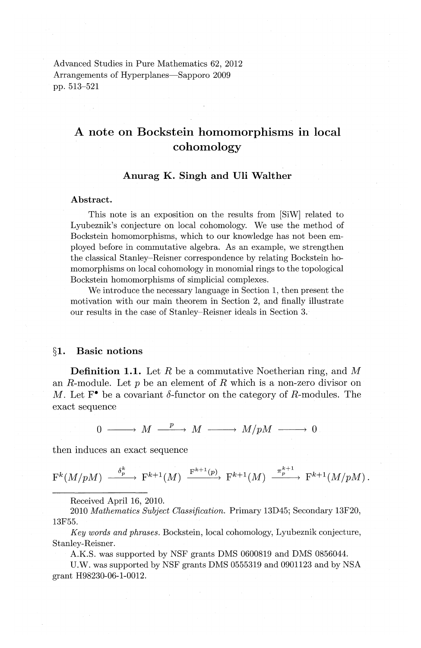Advanced Studies in Pure Mathematics 62, 2012 Arrangements of Hyperplanes—Sapporo 2009 pp. 513-521

# **A note on Bockstein homomorphisms in local cohomology**

## **Anurag K. Singh and Uli Walther**

#### **Abstract.**

This note is an exposition on the results from [SiW] related to Lyubeznik's conjecture on local cohomology. We use the method of Bockstein homomorphisms, which to our knowledge has not been employed before in commutative algebra. As an example, we strengthen the classical Stanley-Reisner correspondence by relating Bockstein homomorphisms on local cohomology in monomial rings to the topological Bockstein homomorphisms of simplicial complexes.

We introduce the necessary language in Section 1, then present the motivation with our main theorem in Section 2, and finally illustrate our results in the case of Stanley-Reisner ideals in Section 3.

## **§1. Basic notions**

**Definition 1.1.** Let R be a commutative Noetherian ring, and M an R-module. Let  $p$  be an element of  $R$  which is a non-zero divisor on M. Let  $\mathbf{F}^{\bullet}$  be a covariant  $\delta$ -functor on the category of R-modules. The exact sequence

 $0 \longrightarrow M \xrightarrow{p} M \longrightarrow M/\mathfrak{p}M \longrightarrow 0$ 

then induces an exact sequence

 $F^k(M/pM) \xrightarrow{\delta_p^k} F^{k+1}(M) \xrightarrow{F^{k+1}(p)} F^{k+1}(M) \xrightarrow{\pi_p^{k+1}} F^{k+1}(M/pM).$ 

Received April 16, 2010.

2010 *Mathematics Subject Classification.* Primary 13D45; Secondary 13F20, 13F55.

*Key words and phrases,* Bockstein, local cohomology, Lyubeznik conjecture, Stanley-Reisner.

A.K.S. was supported by NSF grants DMS 0600819 and DMS 0856044.

U.W. was supported by NSF grants DMS 0555319 and 0901123 and by NSA grant H98230-06-1-0012.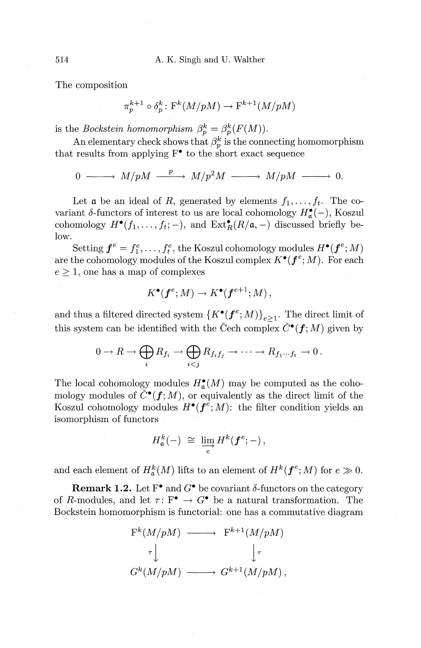The composition

$$
\pi_p^{k+1}\circ\delta_p^k\colon{\mathcal F}^k(M/pM)\to{\mathcal F}^{k+1}(M/pM)
$$

is the *Bockstein homomorphism*  $\beta_p^k = \beta_p^k(F(M)).$ 

An elementary check shows that  $\beta_p^k$  is the connecting homomorphism that results from applying  $F^{\bullet}$  to the short exact sequence

 $0 \longrightarrow M/pM \longrightarrow M/p^2M \longrightarrow M/pM \longrightarrow 0.$ 

Let  $\alpha$  be an ideal of R, generated by elements  $f_1, \ldots, f_t$ . The covariant  $\delta$ -functors of interest to us are local cohomology  $H_{\mathfrak{a}}^{\bullet}(-)$ , Koszul cohomology  $H^{\bullet}(f_1, \ldots, f_t; -)$ , and  $\operatorname{Ext}^{\bullet}_R(R/\mathfrak{a}, -)$  discussed briefly below.

Setting  $f^e = f^e_1, \ldots, f^e_t$ , the Koszul cohomology modules  $H^{\bullet}(f^e; M)$ are the cohomology modules of the Koszul complex  $K^{\bullet}(f^e;M)$ . For each  $e \geq 1$ , one has a map of complexes

$$
K^{\bullet}(f^e;M) \to K^{\bullet}(f^{e+1};M),
$$

and thus a filtered directed system  $\{K^{\bullet}(f^e;M)\}_{e>1}$ . The direct limit of this system can be identified with the Čech complex  $\check{C}^{\bullet}(f;M)$  given by

$$
0 \to R \to \bigoplus_i R_{f_i} \to \bigoplus_{i < j} R_{f_i f_j} \to \cdots \to R_{f_1 \cdots f_t} \to 0 \, .
$$

The local cohomology modules  $H_{\mathfrak{a}}^{\bullet}(M)$  may be computed as the cohomology modules of  $\check{C}^{\bullet}(\mathbf{f}; M)$ , or equivalently as the direct limit of the Koszul cohomology modules  $H^{\bullet}(f^e;M)$ : the filter condition yields an isomorphism of functors

$$
H_{\mathfrak{a}}^k(-) \; \cong \; \varinjlim_e H^k(\boldsymbol{f}^e; -),
$$

and each element of  $H^k_{\mathfrak{a}}(M)$  lifts to an element of  $H^k(\mathbf{f}^e; M)$  for  $e \gg 0$ .

**Remark 1.2.** Let  $F^{\bullet}$  and  $G^{\bullet}$  be covariant  $\delta$ -functors on the category of R-modules, and let  $\tau: F^{\bullet} \to G^{\bullet}$  be a natural transformation. The Bockstein homomorphism is functorial: one has a commutative diagram

$$
F^{k}(M/pM) \longrightarrow F^{k+1}(M/pM)
$$
  
\n
$$
\tau \downarrow \qquad \qquad \downarrow \tau
$$
  
\n
$$
G^{k}(M/pM) \longrightarrow G^{k+1}(M/pM),
$$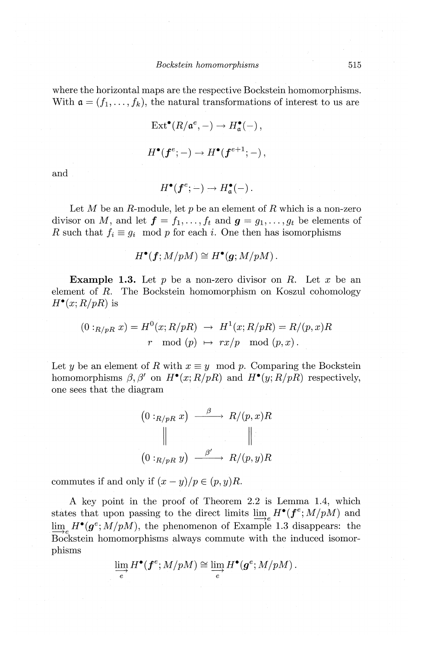where the horizontal maps are the respective Bockstein homomorphisms. With  $\mathfrak{a}=(f_1,\ldots,f_k)$ , the natural transformations of interest to us are

$$
\operatorname{Ext}^{\bullet}(R/\mathfrak{a}^e, -) \to H^{\bullet}_{\mathfrak{a}}(-),
$$
  

$$
H^{\bullet}(f^e; -) \to H^{\bullet}(f^{e+1}; -),
$$

and

$$
H^{\bullet}(f^{e};-)\to H^{\bullet}_{\mathfrak{a}}(-)\ .
$$

Let  $M$  be an  $R$ -module, let  $p$  be an element of  $R$  which is a non-zero divisor on *M*, and let  $f = f_1, \ldots, f_t$  and  $g = g_1, \ldots, g_t$  be elements of *R* such that  $f_i \equiv g_i \mod p$  for each *i*. One then has isomorphisms

$$
H^{\bullet}(f;M/pM) \cong H^{\bullet}(g;M/pM) .
$$

**Example 1.3.** Let p be a non-zero divisor on R. Let *x* be an element of  $R$ . The Bockstein homomorphism on Koszul cohomology  $H^{\bullet}(x; R/pR)$  is

$$
(0:_{R/pR} x) = H^0(x; R/pR) \rightarrow H^1(x; R/pR) = R/(p, x)R
$$
  

$$
r \mod (p) \rightarrow rx/p \mod (p, x).
$$

Let y be an element of R with  $x \equiv y \mod p$ . Comparing the Bockstein homomorphisms  $\beta$ ,  $\beta'$  on  $H^{\bullet}(x; R/pR)$  and  $H^{\bullet}(y; R/pR)$  respectively, one sees that the diagram

$$
(0:_{R/pR} x) \xrightarrow{\beta} R/(p,x)R
$$
  
 
$$
\parallel \qquad \qquad \parallel
$$
  
 
$$
(0:_{R/pR} y) \xrightarrow{\beta'} R/(p,y)R
$$

commutes if and only if  $(x - y)/p \in (p, y)R$ .

A key point in the proof of Theorem 2.2 is Lemma 1.4, which states that upon passing to the direct limits  $\lim_{n \to \infty} H^{\bullet}(f^e; M/pM)$  and  $\lim_{h \to \infty} H^{\bullet}(g^e; M/pM)$ , the phenomenon of Example 1.3 disappears: the Bockstein homomorphisms always commute with the induced isomorphisms

$$
\varinjlim_e H^\bullet(\boldsymbol f^e;M/pM)\cong \varinjlim_e H^\bullet(\boldsymbol g^e;M/pM)\,.
$$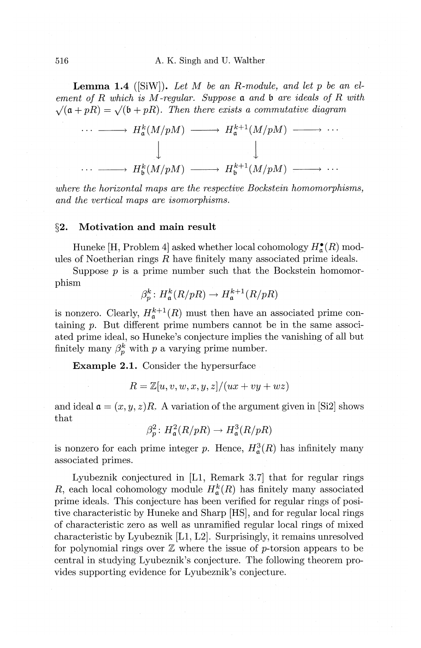**Lemma 1.4** ([SiW]). *Let M be an R-module, and let p be an element of R which is M -regular. Suppose a and* b *are ideals of R with*   $\sqrt{(\mathfrak{a} + pR)} = \sqrt{(\mathfrak{b} + pR)}$ . Then there exists a commutative diagram



*where the horizontal maps are the respective Bockstein homomorphisms, and the vertical maps are isomorphisms.* 

## **§2. Motivation and main result**

Huneke [H, Problem 4] asked whether local cohomology  $H_{\mathfrak{a}}^{\bullet}(R)$  modules of Noetherian rings *R* have finitely many associated prime ideals.

Suppose  $p$  is a prime number such that the Bockstein homomorphism

$$
\beta_p^k \colon H^k_{\mathfrak{a}}(R/pR) \to H^{k+1}_{\mathfrak{a}}(R/pR)
$$

is nonzero. Clearly,  $H_{\alpha}^{k+1}(R)$  must then have an associated prime containing *p.* But different prime numbers cannot be in the same associated prime ideal, so Huneke's conjecture implies the vanishing of all but finitely many  $\beta_n^k$  with p a varying prime number.

**Example 2.1.** Consider the hypersurface

$$
R = \mathbb{Z}[u, v, w, x, y, z]/(ux + vy + wz)
$$

and ideal  $\mathfrak{a} = (x, y, z)R$ . A variation of the argument given in [Si2] shows that

$$
\beta_p^2 \colon H^2_{\mathfrak{a}}(R/pR) \to H^3_{\mathfrak{a}}(R/pR)
$$

is nonzero for each prime integer p. Hence,  $H<sup>3</sup><sub>a</sub>(R)$  has infinitely many associated primes.

1yubeznik conjectured in **[11,** Remark 3. 7] that for regular rings *R*, each local cohomology module  $H_{\mathfrak{a}}^{k}(R)$  has finitely many associated prime ideals. This conjecture has been verified for regular rings of positive characteristic by Huneke and Sharp [HS], and for regular local rings of characteristic zero as well as unramified regular local rings of mixed characteristic by 1yubeznik [11, 12]. Surprisingly, it remains unresolved for polynomial rings over  $\mathbb{Z}$  where the issue of p-torsion appears to be central in studying 1yubeznik's conjecture. The following theorem provides supporting evidence for 1yubeznik's conjecture.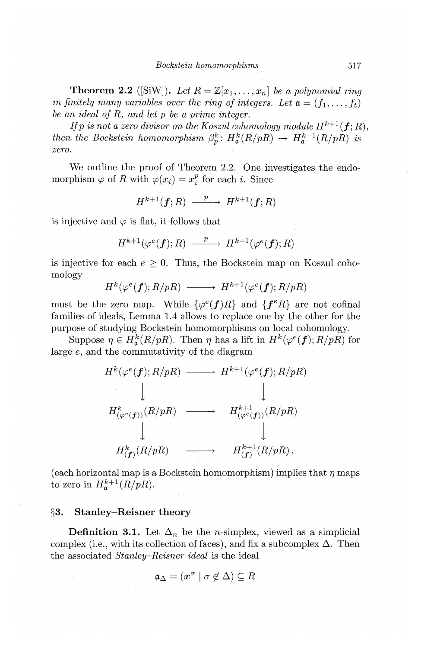**Theorem 2.2** ([SiW]). Let  $R = \mathbb{Z}[x_1, \ldots, x_n]$  be a polynomial ring *in finitely many variables over the ring of integers. Let*  $\mathfrak{a} = (f_1, \ldots, f_t)$ *be an ideal of R, and let p be a prime integer.* 

*If*  $p$  *is not a zero divisor on the Koszul cohomology module*  $H^{k+1}(\boldsymbol{f};R),$ *then the Bockstein homomorphism*  $\beta_p^k$ :  $H_{\mathfrak{a}}^k(R/pR) \rightarrow H_{\mathfrak{a}}^{k+1}(R/pR)$  *is zero.* 

We outline the proof of Theorem 2.2. One investigates the endomorphism  $\varphi$  of *R* with  $\varphi(x_i) = x_i^p$  for each *i*. Since

$$
H^{k+1}(\boldsymbol{f};R) \xrightarrow{\quad p \quad} H^{k+1}(\boldsymbol{f};R)
$$

is injective and  $\varphi$  is flat, it follows that

$$
H^{k+1}(\varphi^e(\boldsymbol{f});R) \ \stackrel{p}{-\!\!\!-\!\!\!-\!\!\!-\!\!\!-\!\!\!-\!\!\!-\!\!\!\longrightarrow}\ H^{k+1}(\varphi^e(\boldsymbol{f});R)
$$

is injective for each  $e \geq 0$ . Thus, the Bockstein map on Koszul cohomology

$$
H^k(\varphi^e(\boldsymbol{f});R/pR)\ \longrightarrow\ H^{k+1}(\varphi^e(\boldsymbol{f});R/pR)
$$

must be the zero map. While  $\{\varphi^e(f)R\}$  and  $\{f^eR\}$  are not cofinal families of ideals, Lemma 1.4 allows to replace one by the other for the purpose of studying Bockstein homomorphisms on local cohomology.

Suppose  $\eta \in H_{\mathfrak{a}}^k(R/pR)$ . Then  $\eta$  has a lift in  $H^k(\varphi^e(\boldsymbol{f}); R/pR)$  for large *e,* and the commutativity of the diagram



(each horizontal map is a Bockstein homomorphism) implies that  $\eta$  maps to zero in  $H^{k+1}_{\mathfrak{a}}(R/pR)$ .

### **§3. Stanley-Reisner theory**

**Definition 3.1.** Let  $\Delta_n$  be the *n*-simplex, viewed as a simplicial complex (i.e., with its collection of faces), and fix a subcomplex  $\Delta$ . Then the associated *Stanley-Reisner ideal* is the ideal

$$
\mathfrak{a}_{\Delta} = (\boldsymbol{x}^{\sigma} \mid \sigma \notin \Delta) \subseteq R
$$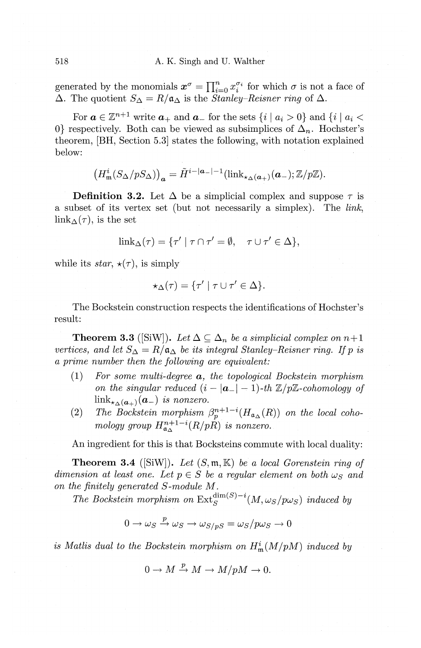generated by the monomials  $x^{\sigma} = \prod_{i=0}^{n} x_i^{\sigma_i}$  for which  $\sigma$  is not a face of  $\Delta$ . The quotient  $S_{\Delta}=R/\mathfrak{a}_{\Delta}$  is the *Stanley-Reisner ring* of  $\Delta$ .

For  $a \in \mathbb{Z}^{n+1}$  write  $a_+$  and  $a_-$  for the sets  $\{i \mid a_i > 0\}$  and  $\{i \mid a_i <$ 0} respectively. Both can be viewed as subsimplices of  $\Delta_n$ . Hochster's theorem, [BH, Section 5.3] states the following, with notation explained below:

$$
\left(H_{\mathfrak{m}}^{i}(S_{\Delta}/pS_{\Delta})\right)_{\mathbf{a}} = \tilde{H}^{i-|\mathbf{a}_{-}|-1}(\mathrm{link}_{\star_{\Delta}(\mathbf{a}_{+})}(\mathbf{a}_{-});\mathbb{Z}/p\mathbb{Z}).
$$

**Definition 3.2.** Let  $\Delta$  be a simplicial complex and suppose  $\tau$  is a subset of its vertex set (but not necessarily a simplex). The *link,*   $\lim_{\Delta}(\tau)$ , is the set

$$
\text{link}_{\Delta}(\tau) = \{\tau' \mid \tau \cap \tau' = \emptyset, \quad \tau \cup \tau' \in \Delta\},\
$$

while its *star*,  $\star(\tau)$ , is simply

$$
\star_{\Delta}(\tau) = \{\tau' \mid \tau \cup \tau' \in \Delta\}.
$$

The Bockstein construction respects the identifications of Hochster's result:

**Theorem 3.3** ([SiW]). Let  $\Delta \subseteq \Delta_n$  be a simplicial complex on  $n+1$ *vertices, and let*  $S_{\Delta} = R/\mathfrak{a}_{\Delta}$  *be its integral Stanley-Reisner ring. If* p is *a prime number then the following are equivalent:* 

- (1) *For some multi-degree a, the topological Bockstein morphism on the singular reduced*  $(i - |a_-| - 1)$ -th  $\mathbb{Z}/p\mathbb{Z}$ -cohomology of  $\lim_{\mathbf{K}_{\lambda}(a_+)} (a_-)$  *is nonzero.*
- (2) The Bockstein morphism  $\beta_p^{n+1-i}(H_{\mathfrak{a}_\Delta}(R))$  on the local coho*mology group*  $H_{\mathfrak{a}_\Lambda}^{n+1-i}(R/pR)$  *is nonzero.*

An ingredient for this is that Bocksteins commute with local duality:

**Theorem 3.4** ([SiW]). Let  $(S, \mathfrak{m}, \mathbb{K})$  be a local Gorenstein ring of *dimension at least one. Let*  $p \in S$  *be a regular element on both*  $\omega_S$  *and on the finitely generated S -module M.* 

*The Bockstein morphism on*  $Ext_S^{dim}(S)^{-i}(M,\omega_S/p\omega_S)$  *induced by* 

$$
0 \to \omega_S \xrightarrow{p} \omega_S \to \omega_{S/pS} = \omega_S/p\omega_S \to 0
$$

*is Matlis dual to the Bockstein morphism on*  $H_{\mathfrak{m}}^{i}(M/pM)$  *induced by* 

$$
0 \to M \xrightarrow{p} M \to M/pM \to 0.
$$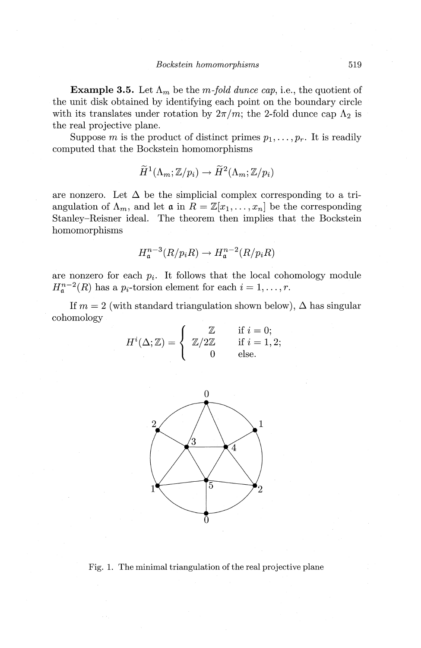**Example 3.5.** Let  $\Lambda_m$  be the m-fold dunce cap, i.e., the quotient of the unit disk obtained by identifying each point on the boundary circle with its translates under rotation by  $2\pi/m$ ; the 2-fold dunce cap  $\Lambda_2$  is the real projective plane.

Suppose *m* is the product of distinct primes  $p_1, \ldots, p_r$ . It is readily computed that the Bockstein homomorphisms

$$
H^1(\Lambda_m; \mathbb{Z}/p_i) \to H^2(\Lambda_m; \mathbb{Z}/p_i)
$$

are nonzero. Let  $\Delta$  be the simplicial complex corresponding to a triangulation of  $\Lambda_m$ , and let  $\mathfrak{a}$  in  $R = \mathbb{Z}[x_1, \ldots, x_n]$  be the corresponding Stanley-Reisner ideal. The theorem then implies that the Bockstein homomorphisms

$$
H^{n-3}_{\mathfrak{a}}(R/p_i R) \to H^{n-2}_{\mathfrak{a}}(R/p_i R)
$$

are nonzero for each  $p_i$ . It follows that the local cohomology module  $H_{\mathfrak{a}}^{n-2}(R)$  has a  $p_i$ -torsion element for each  $i = 1, \ldots, r$ .

If  $m = 2$  (with standard triangulation shown below),  $\Delta$  has singular cohomology

$$
H^{i}(\Delta; \mathbb{Z}) = \begin{cases} \mathbb{Z} & \text{if } i = 0; \\ \mathbb{Z}/2\mathbb{Z} & \text{if } i = 1, 2; \\ 0 & \text{else.} \end{cases}
$$



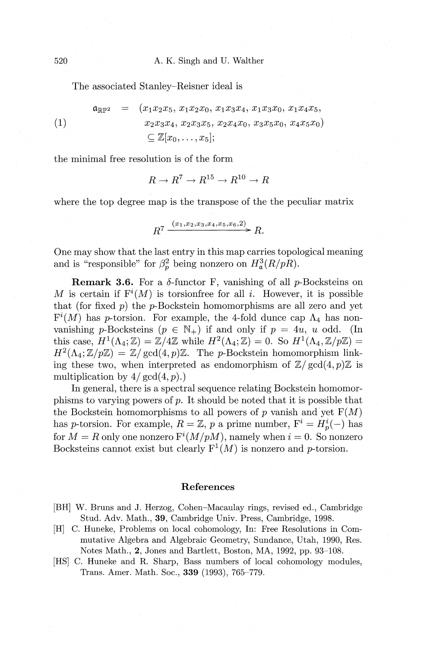The associated Stanley-Reisner ideal is

 $=$   $(x_1x_2x_5, x_1x_2x_0, x_1x_3x_4, x_1x_3x_0, x_1x_4x_5,$  $\mathfrak{a}_{\mathbb{R}\mathbb{P}^2}$ **(1)**  *X2X3X4, X2X3X5, X2X4X0, X3X5Xo, X4X5Xo)*   $\subset \mathbb{Z}[x_0, \ldots, x_5];$ 

the minimal free resolution is of the form

 $R \rightarrow R^7 \rightarrow R^{15} \rightarrow R^{10} \rightarrow R$ 

where the top degree map is the transpose of the the peculiar matrix

$$
R^7 \xrightarrow{(x_1, x_2, x_3, x_4, x_5, x_6, 2)} R.
$$

One may show that the last entry in this map carries topological meaning and is "responsible" for  $\beta_p^2$  being nonzero on  $H^3_\mathfrak{a}(R/pR)$ .

**Remark 3.6.** For a  $\delta$ -functor F, vanishing of all p-Bocksteins on M is certain if  $F^{i}(M)$  is torsionfree for all i. However, it is possible that (for fixed  $p$ ) the  $p$ -Bockstein homomorphisms are all zero and yet  $F^{i}(M)$  has p-torsion. For example, the 4-fold dunce cap  $\Lambda_4$  has nonvanishing p-Bocksteins  $(p \in \mathbb{N}_+)$  if and only if  $p = 4u$ , u odd. (In this case,  $H^1(\Lambda_4; \mathbb{Z}) = \mathbb{Z}/4\mathbb{Z}$  while  $H^2(\Lambda_4; \mathbb{Z}) = 0$ . So  $H^1(\Lambda_4, \mathbb{Z}/p\mathbb{Z}) =$  $H^2(\Lambda_4; \mathbb{Z}/p\mathbb{Z}) = \mathbb{Z}/\text{gcd}(4,p)\mathbb{Z}$ . The p-Bockstein homomorphism linking these two, when interpreted as endomorphism of  $\mathbb{Z}/\text{gcd}(4,p)\mathbb{Z}$  is multiplication by  $4/\gcd(4, p)$ .)

In general, there is a spectral sequence relating Bockstein homomorphisms to varying powers of  $p$ . It should be noted that it is possible that the Bockstein homomorphisms to all powers of  $p$  vanish and yet  $F(M)$ has p-torsion. For example,  $R = \mathbb{Z}$ , p a prime number,  $F^i = H^i_p(-)$  has for  $M = R$  only one nonzero  $F^{i}(M/pM)$ , namely when  $i = 0$ . So nonzero Bocksteins cannot exist but clearly  $F^1(M)$  is nonzero and p-torsion.

#### **References**

- [BH] W. Bruns and J. Herzog, Cohen-Macaulay rings, revised ed., Cambridge Stud. Adv. Math., **39,** Cambridge Univ. Press, Cambridge, 1998.
- [H] C. Huneke, Problems on local cohomology, In: Free Resolutions in Commutative Algebra and Algebraic Geometry, Sundance, Utah, 1990, Res. Notes Math., **2,** Jones and Bartlett, Boston, MA, 1992, pp. 93-108.
- [HS] C. Huneke and R. Sharp, Bass numbers of local cohomology modules, Trans. Amer. Math. Soc., **339** (1993), 765-779.

520